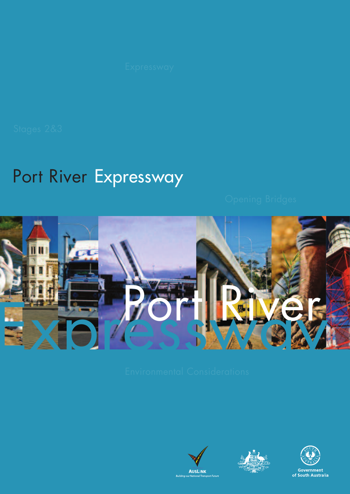# Port River Expressway







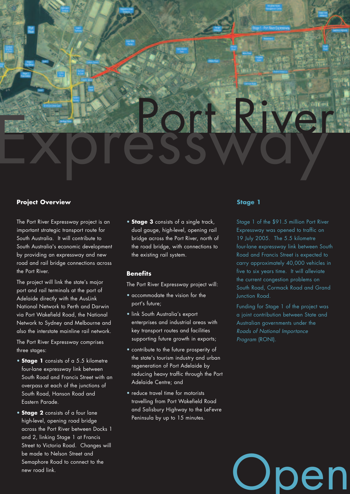

# **Project Overview The Contract Overview According to the Contract Overview Stage 1**

The Port River Expressway project is an important strategic transport route for South Australia. It will contribute to South Australia's economic development by providing an expressway and new road and rail bridge connections across the Port River.

The project will link the state's major port and rail terminals at the port of Adelaide directly with the AusLink National Network to Perth and Darwin via Port Wakefield Road, the National Network to Sydney and Melbourne and also the interstate mainline rail network.

The Port River Expressway comprises three stages:

- **Stage 1** consists of a 5.5 kilometre four-lane expressway link between South Road and Francis Street with an overpass at each of the junctions of South Road, Hanson Road and Eastern Parade.
- **Stage 2** consists of a four lane high-level, opening road bridge across the Port River between Docks 1 and 2, linking Stage 1 at Francis Street to Victoria Road. Changes will be made to Nelson Street and Semaphore Road to connect to the new road link.

• **Stage 3** consists of a single track, dual gauge, high-level, opening rail bridge across the Port River, north of the road bridge, with connections to the existing rail system.

## **Benefits**

The Port River Expressway project will:

- accommodate the vision for the port's future;
- link South Australia's export enterprises and industrial areas with key transport routes and facilities supporting future growth in exports;
- contribute to the future prosperity of the state's tourism industry and urban regeneration of Port Adelaide by reducing heavy traffic through the Port Adelaide Centre; and
- reduce travel time for motorists travelling from Port Wakefield Road and Salisbury Highway to the LeFevre Peninsula by up to 15 minutes.

Stage 1 of the \$91.5 million Port River Expressway was opened to traffic on 19 July 2005. The 5.5 kilometre four-lane expressway link between South Road and Francis Street is expected to carry approximately 40,000 vehicles in five to six years time. It will alleviate the current congestion problems on South Road, Cormack Road and Grand Junction Road.

Funding for Stage 1 of the project was a joint contribution between State and Australian governments under the *Roads of National Importance Program* (RONI).

en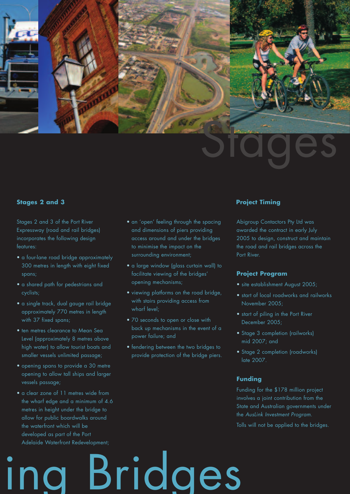

## **Stages 2 and 3 Project Timing**

Stages 2 and 3 of the Port River Expressway (road and rail bridges) incorporates the following design features:

- a four-lane road bridge approximately 300 metres in length with eight fixed spans;
- a shared path for pedestrians and cyclists;
- a single track, dual gauge rail bridge approximately 770 metres in length with 37 fixed spans;
- ten metres clearance to Mean Sea Level (approximately 8 metres above high water) to allow tourist boats and smaller vessels unlimited passage;
- opening spans to provide a 30 metre opening to allow tall ships and larger vessels passage;
- a clear zone of 11 metres wide from the wharf edge and a minimum of 4.6 metres in height under the bridge to allow for public boardwalks around the waterfront which will be developed as part of the Port Adelaide Waterfront Redevelopment;
- an 'open' feeling through the spacing and dimensions of piers providing access around and under the bridges to minimise the impact on the surrounding environment;
- a large window (glass curtain wall) to facilitate viewing of the bridges' opening mechanisms;
- viewing platforms on the road bridge, with stairs providing access from wharf level;
- 70 seconds to open or close with back up mechanisms in the event of a power failure; and
- fendering between the two bridges to provide protection of the bridge piers.

Bridges

Abigroup Contactors Pty Ltd was awarded the contract in early July 2005 to design, construct and maintain the road and rail bridges across the Port River.

## **Project Program**

- site establishment August 2005;
- start of local roadworks and railworks November 2005;
- start of piling in the Port River December 2005;
- Stage 3 completion (railworks) mid 2007; and
- Stage 2 completion (roadworks) late 2007.

# **Funding**

Funding for the \$178 million project involves a joint contribution from the State and Australian governments under the *AusLink Investment Program*.

Tolls will not be applied to the bridges.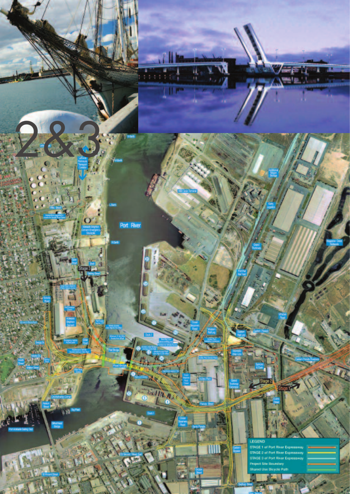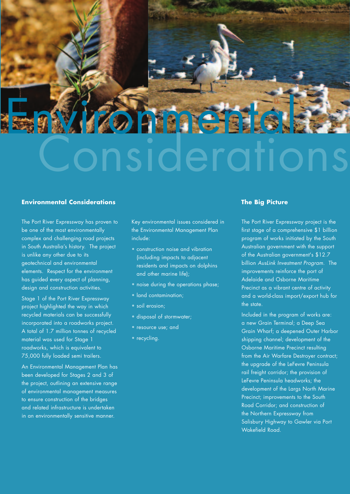

# **Environmental Considerations** The Big Picture **The Big Picture**

The Port River Expressway has proven to be one of the most environmentally complex and challenging road projects in South Australia's history. The project is unlike any other due to its geotechnical and environmental elements. Respect for the environment has guided every aspect of planning, design and construction activities.

Stage 1 of the Port River Expressway project highlighted the way in which recycled materials can be successfully incorporated into a roadworks project. A total of 1.7 million tonnes of recycled material was used for Stage 1 roadworks, which is equivalent to 75,000 fully loaded semi trailers.

An Environmental Management Plan has been developed for Stages 2 and 3 of the project, outlining an extensive range of environmental management measures to ensure construction of the bridges and related infrastructure is undertaken in an environmentally sensitive manner.

Key environmental issues considered in the Environmental Management Plan include:

- construction noise and vibration (including impacts to adjacent residents and impacts on dolphins and other marine life);
- noise during the operations phase;
- land contamination;
- soil erosion:
- disposal of stormwater;
- resource use; and
- recycling.

The Port River Expressway project is the first stage of a comprehensive \$1 billion program of works initiated by the South Australian government with the support of the Australian government's \$12.7 billion *AusLink Investment Program*. The improvements reinforce the port of Adelaide and Osborne Maritime Precinct as a vibrant centre of activity and a world-class import/export hub for the state.

Included in the program of works are: a new Grain Terminal; a Deep Sea Grain Wharf; a deepened Outer Harbor shipping channel; development of the Osborne Maritime Precinct resulting from the Air Warfare Destroyer contract; the upgrade of the LeFevre Peninsula rail freight corridor; the provision of LeFevre Peninsula headworks; the development of the Largs North Marine Precinct; improvements to the South Road Corridor; and construction of the Northern Expressway from Salisbury Highway to Gawler via Port Wakefield Road.